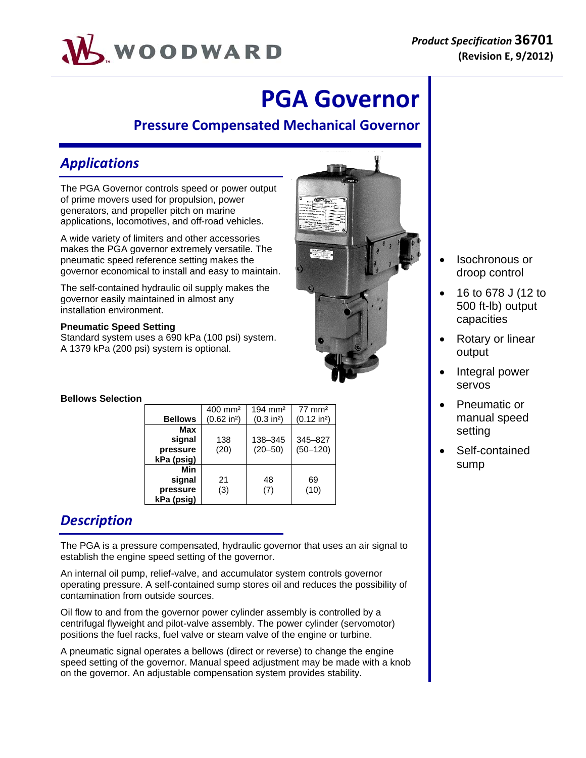

# **PGA Governor**

### **Pressure Compensated Mechanical Governor**

## *Applications*

The PGA Governor controls speed or power output of prime movers used for propulsion, power generators, and propeller pitch on marine applications, locomotives, and off-road vehicles.

A wide variety of limiters and other accessories makes the PGA governor extremely versatile. The pneumatic speed reference setting makes the governor economical to install and easy to maintain.

The self-contained hydraulic oil supply makes the governor easily maintained in almost any installation environment.

### **Pneumatic Speed Setting**

Standard system uses a 690 kPa (100 psi) system. A 1379 kPa (200 psi) system is optional.

### **Bellows Selection**

|                | $400 \text{ mm}^2$    | $194 \text{ mm}^2$     | $77 \text{ mm}^2$     |
|----------------|-----------------------|------------------------|-----------------------|
| <b>Bellows</b> | $(0.62 \text{ in}^2)$ | (0.3 in <sup>2</sup> ) | $(0.12 \text{ in}^2)$ |
| Max            |                       |                        |                       |
| signal         | 138                   | 138-345                | 345-827               |
| pressure       | (20)                  | $(20 - 50)$            | $(50 - 120)$          |
| kPa (psig)     |                       |                        |                       |
| Min            |                       |                        |                       |
| signal         | 21                    | 48                     | 69                    |
| pressure       | (3)                   | (7)                    | (10)                  |
| kPa (psig)     |                       |                        |                       |

# *Description*

The PGA is a pressure compensated, hydraulic governor that uses an air signal to establish the engine speed setting of the governor.

An internal oil pump, relief-valve, and accumulator system controls governor operating pressure. A self-contained sump stores oil and reduces the possibility of contamination from outside sources.

Oil flow to and from the governor power cylinder assembly is controlled by a centrifugal flyweight and pilot-valve assembly. The power cylinder (servomotor) positions the fuel racks, fuel valve or steam valve of the engine or turbine.

A pneumatic signal operates a bellows (direct or reverse) to change the engine speed setting of the governor. Manual speed adjustment may be made with a knob on the governor. An adjustable compensation system provides stability.



- Isochronous or droop control
- 16 to 678 J (12 to 500 ft-lb) output capacities
- Rotary or linear output
- Integral power servos
- Pneumatic or manual speed setting
- Self-contained sump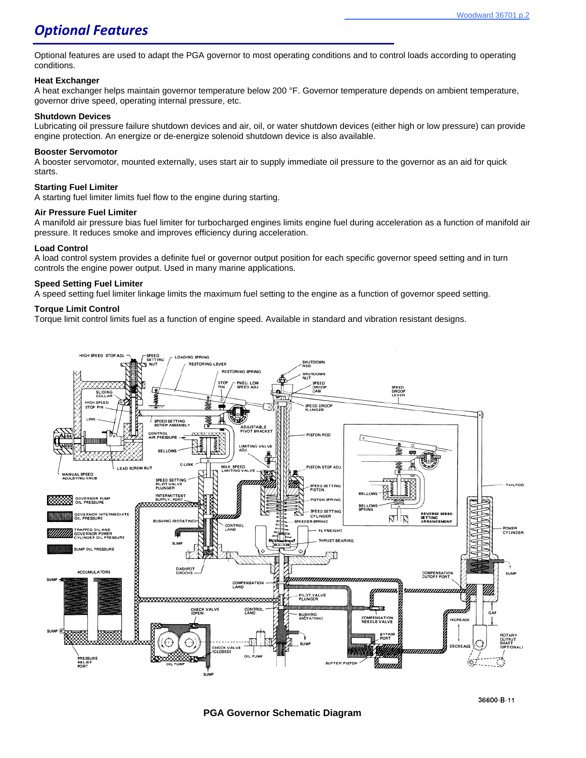### *Optional Features*

Optional features are used to adapt the PGA governor to most operating conditions and to control loads according to operating conditions.

#### **Heat Exchanger**

A heat exchanger helps maintain governor temperature below 200 °F. Governor temperature depends on ambient temperature, governor drive speed, operating internal pressure, etc.

#### **Shutdown Devices**

Lubricating oil pressure failure shutdown devices and air, oil, or water shutdown devices (either high or low pressure) can provide engine protection. An energize or de-energize solenoid shutdown device is also available.

#### **Booster Servomotor**

A booster servomotor, mounted externally, uses start air to supply immediate oil pressure to the governor as an aid for quick starts.

#### **Starting Fuel Limiter**

A starting fuel limiter limits fuel flow to the engine during starting.

#### **Air Pressure Fuel Limiter**

A manifold air pressure bias fuel limiter for turbocharged engines limits engine fuel during acceleration as a function of manifold air pressure. It reduces smoke and improves efficiency during acceleration.

#### **Load Control**

A load control system provides a definite fuel or governor output position for each specific governor speed setting and in turn controls the engine power output. Used in many marine applications.

#### **Speed Setting Fuel Limiter**

A speed setting fuel limiter linkage limits the maximum fuel setting to the engine as a function of governor speed setting.

#### **Torque Limit Control**

Torque limit control limits fuel as a function of engine speed. Available in standard and vibration resistant designs.

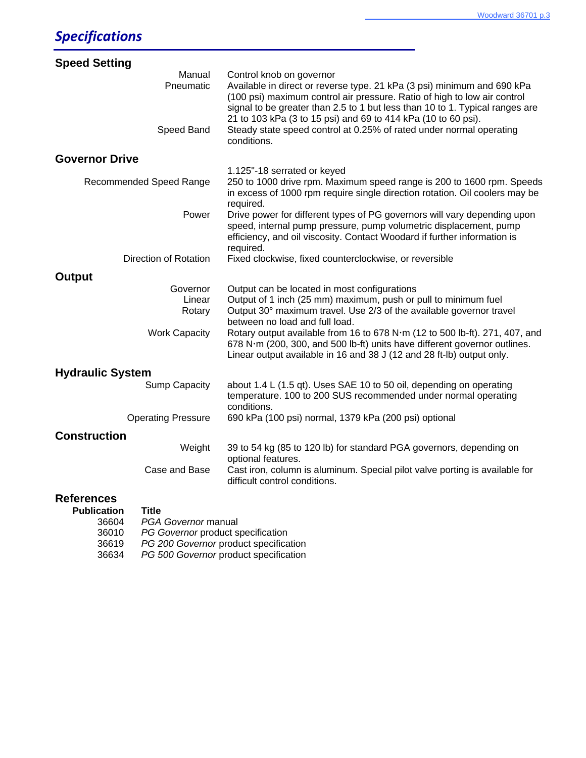| <b>Speed Setting</b>                                    |                                                                                                                                                                                                                                                                                                                                                                                                                        |
|---------------------------------------------------------|------------------------------------------------------------------------------------------------------------------------------------------------------------------------------------------------------------------------------------------------------------------------------------------------------------------------------------------------------------------------------------------------------------------------|
| Manual<br>Pneumatic<br>Speed Band                       | Control knob on governor<br>Available in direct or reverse type. 21 kPa (3 psi) minimum and 690 kPa<br>(100 psi) maximum control air pressure. Ratio of high to low air control<br>signal to be greater than 2.5 to 1 but less than 10 to 1. Typical ranges are<br>21 to 103 kPa (3 to 15 psi) and 69 to 414 kPa (10 to 60 psi).<br>Steady state speed control at 0.25% of rated under normal operating<br>conditions. |
| <b>Governor Drive</b>                                   |                                                                                                                                                                                                                                                                                                                                                                                                                        |
| Recommended Speed Range                                 | 1.125"-18 serrated or keyed<br>250 to 1000 drive rpm. Maximum speed range is 200 to 1600 rpm. Speeds                                                                                                                                                                                                                                                                                                                   |
|                                                         | in excess of 1000 rpm require single direction rotation. Oil coolers may be<br>required.                                                                                                                                                                                                                                                                                                                               |
| Power                                                   | Drive power for different types of PG governors will vary depending upon<br>speed, internal pump pressure, pump volumetric displacement, pump<br>efficiency, and oil viscosity. Contact Woodard if further information is<br>required.                                                                                                                                                                                 |
| Direction of Rotation                                   | Fixed clockwise, fixed counterclockwise, or reversible                                                                                                                                                                                                                                                                                                                                                                 |
| <b>Output</b>                                           |                                                                                                                                                                                                                                                                                                                                                                                                                        |
| Governor<br>Linear<br>Rotary                            | Output can be located in most configurations<br>Output of 1 inch (25 mm) maximum, push or pull to minimum fuel<br>Output 30° maximum travel. Use 2/3 of the available governor travel<br>between no load and full load.                                                                                                                                                                                                |
| <b>Work Capacity</b>                                    | Rotary output available from 16 to 678 N·m (12 to 500 lb-ft). 271, 407, and<br>678 N·m (200, 300, and 500 lb-ft) units have different governor outlines.<br>Linear output available in 16 and 38 J (12 and 28 ft-lb) output only.                                                                                                                                                                                      |
| <b>Hydraulic System</b>                                 |                                                                                                                                                                                                                                                                                                                                                                                                                        |
| <b>Sump Capacity</b>                                    | about 1.4 L (1.5 qt). Uses SAE 10 to 50 oil, depending on operating<br>temperature. 100 to 200 SUS recommended under normal operating<br>conditions.                                                                                                                                                                                                                                                                   |
| <b>Operating Pressure</b>                               | 690 kPa (100 psi) normal, 1379 kPa (200 psi) optional                                                                                                                                                                                                                                                                                                                                                                  |
| <b>Construction</b>                                     |                                                                                                                                                                                                                                                                                                                                                                                                                        |
| Weight                                                  | 39 to 54 kg (85 to 120 lb) for standard PGA governors, depending on<br>optional features.                                                                                                                                                                                                                                                                                                                              |
| Case and Base                                           | Cast iron, column is aluminum. Special pilot valve porting is available for<br>difficult control conditions.                                                                                                                                                                                                                                                                                                           |
| <b>References</b><br><b>Title</b><br><b>Publication</b> |                                                                                                                                                                                                                                                                                                                                                                                                                        |

| <b>Publication</b> | Title                                 |
|--------------------|---------------------------------------|
| 36604              | <b>PGA Governor manual</b>            |
| 36010              | PG Governor product specification     |
| 36619              | PG 200 Governor product specification |
| 36634              | PG 500 Governor product specification |
|                    |                                       |